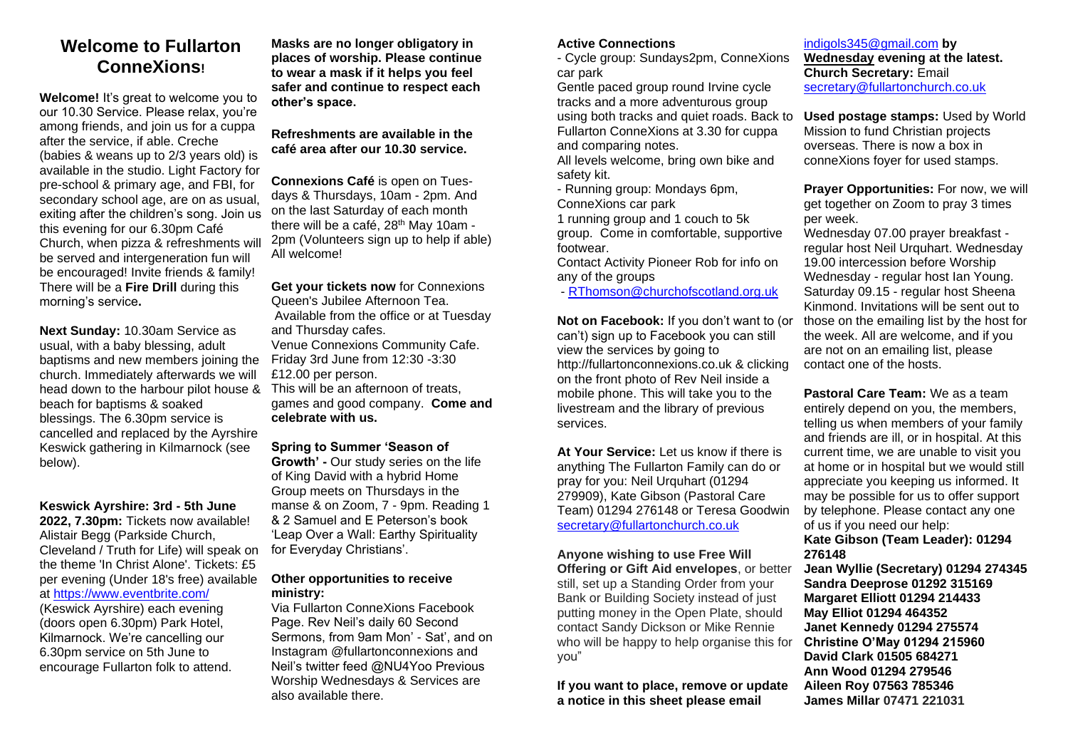### **Welcome to Fullarton ConneXions!**

**Welcome!** It's great to welcome you to our 10.30 Service. Please relax, you're among friends, and join us for a cuppa after the service, if able. Creche (babies & weans up to 2/3 years old) is available in the studio. Light Factory for pre-school & primary age, and FBI, for secondary school age, are on as usual. exiting after the children's song. Join us this evening for our 6.30pm Café Church, when pizza & refreshments will be served and intergeneration fun will be encouraged! Invite friends & family! There will be a **Fire Drill** during this morning's service**.** 

**Next Sunday:** 10.30am Service as usual, with a baby blessing, adult baptisms and new members joining the church. Immediately afterwards we will head down to the harbour pilot house & beach for baptisms & soaked blessings. The 6.30pm service is cancelled and replaced by the Ayrshire Keswick gathering in Kilmarnock (see below).

#### **Keswick Ayrshire: 3rd - 5th June**

**2022, 7.30pm:** Tickets now available! Alistair Begg (Parkside Church, Cleveland / Truth for Life) will speak on the theme 'In Christ Alone'. Tickets: £5 per evening (Under 18's free) available at [https://www.eventbrite.com/](https://www.eventbrite.com/.../keswick-ayrshire-2022)

(Keswick Ayrshire) each evening (doors open 6.30pm) Park Hotel,

Kilmarnock. We're cancelling our 6.30pm service on 5th June to encourage Fullarton folk to attend. **Masks are no longer obligatory in places of worship. Please continue to wear a mask if it helps you feel safer and continue to respect each other's space.** 

**Refreshments are available in the café area after our 10.30 service.** 

**Connexions Café** is open on Tuesdays & Thursdays, 10am - 2pm. And on the last Saturday of each month there will be a café, 28<sup>th</sup> May 10am -2pm (Volunteers sign up to help if able) All welcome!

**Get your tickets now** for Connexions Queen's Jubilee Afternoon Tea. Available from the office or at Tuesday and Thursday cafes. Venue Connexions Community Cafe. Friday 3rd June from 12:30 -3:30 £12.00 per person. This will be an afternoon of treats,

games and good company. **Come and celebrate with us.**

#### **Spring to Summer 'Season of**

**Growth' -** Our study series on the life of King David with a hybrid Home Group meets on Thursdays in the manse & on Zoom, 7 - 9pm. Reading 1 & 2 Samuel and E Peterson's book 'Leap Over a Wall: Earthy Spirituality for Everyday Christians'.

#### **Other opportunities to receive ministry:**

Via Fullarton ConneXions Facebook Page. Rev Neil's daily 60 Second Sermons, from 9am Mon' - Sat', and on Instagram @fullartonconnexions and Neil's twitter feed @NU4Yoo Previous Worship Wednesdays & Services are also available there.

#### **Active Connections**

- Cycle group: Sundays2pm, ConneXions car park

Gentle paced group round Irvine cycle tracks and a more adventurous group using both tracks and quiet roads. Back to Fullarton ConneXions at 3.30 for cuppa and comparing notes.

All levels welcome, bring own bike and safety kit.

- Running group: Mondays 6pm, ConneXions car park

1 running group and 1 couch to 5k group. Come in comfortable, supportive footwear.

Contact Activity Pioneer Rob for info on any of the groups

- [RThomson@churchofscotland.org.](mailto:RThomson@churchofscotland.org)uk

**Not on Facebook:** If you don't want to (or can't) sign up to Facebook you can still view the services by going to http://fullartonconnexions.co.uk & clicking on the front photo of Rev Neil inside a mobile phone. This will take you to the livestream and the library of previous services.

**At Your Service:** Let us know if there is anything The Fullarton Family can do or pray for you: Neil Urquhart (01294 279909), Kate Gibson (Pastoral Care Team) 01294 276148 or Teresa Goodwin [secretary@fullartonchurch.co.uk](mailto:secretary@fullartonchurch.co.uk)

#### **Anyone wishing to use Free Will**

**Offering or Gift Aid envelopes**, or better still, set up a Standing Order from your Bank or Building Society instead of just putting money in the Open Plate, should contact Sandy Dickson or Mike Rennie who will be happy to help organise this for you"

**If you want to place, remove or update a notice in this sheet please email** 

[indigols345@gmail.com](mailto:indigols345@gmail.com) **by Wednesday evening at the latest. Church Secretary:** Email [secretary@fullartonchurch.co.uk](mailto:secretary@fullartonchurch.co.uk)

**Used postage stamps:** Used by World Mission to fund Christian projects overseas. There is now a box in conneXions foyer for used stamps.

**Prayer Opportunities:** For now, we will get together on Zoom to pray 3 times per week.

Wednesday 07.00 prayer breakfast regular host Neil Urquhart. Wednesday 19.00 intercession before Worship Wednesday - regular host Ian Young. Saturday 09.15 - regular host Sheena Kinmond. Invitations will be sent out to those on the emailing list by the host for the week. All are welcome, and if you are not on an emailing list, please contact one of the hosts.

**Pastoral Care Team:** We as a team entirely depend on you, the members, telling us when members of your family and friends are ill, or in hospital. At this current time, we are unable to visit you at home or in hospital but we would still appreciate you keeping us informed. It may be possible for us to offer support by telephone. Please contact any one of us if you need our help:

#### **Kate Gibson (Team Leader): 01294 276148**

**Jean Wyllie (Secretary) 01294 274345 Sandra Deeprose 01292 315169 Margaret Elliott 01294 214433 May Elliot 01294 464352 Janet Kennedy 01294 275574 Christine O'May 01294 215960 David Clark 01505 684271 Ann Wood 01294 279546 Aileen Roy 07563 785346 James Millar 07471 221031**